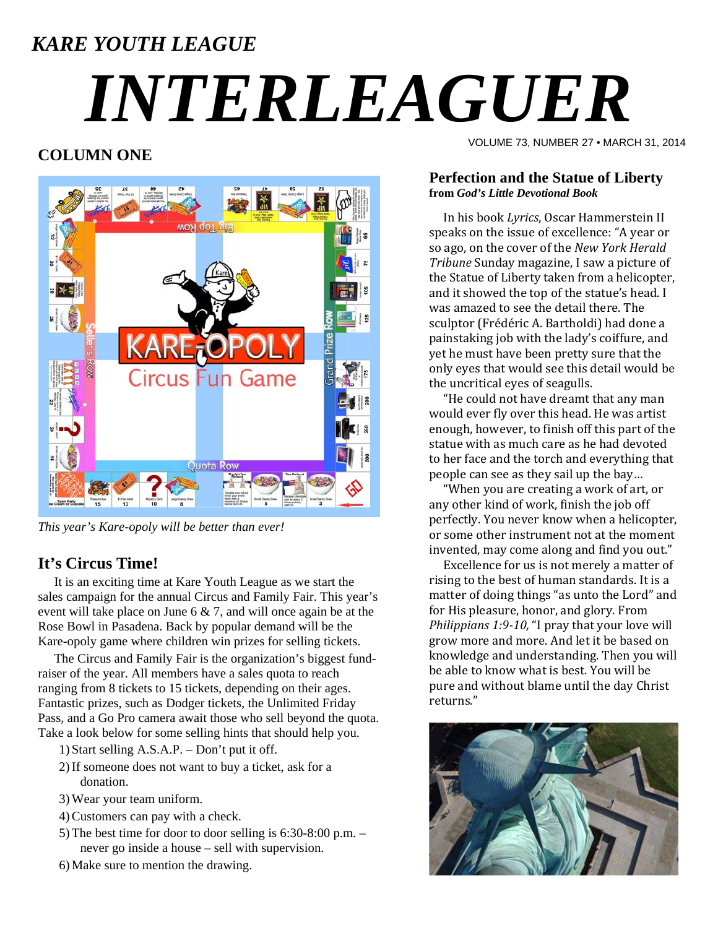### *KARE YOUTH LEAGUE*

# *INTERLEAGUER*

#### **COLUMN ONE**



*This year's Kare-opoly will be better than ever!* 

#### **It's Circus Time!**

 It is an exciting time at Kare Youth League as we start the sales campaign for the annual Circus and Family Fair. This year's event will take place on June 6 & 7, and will once again be at the Rose Bowl in Pasadena. Back by popular demand will be the Kare-opoly game where children win prizes for selling tickets.

 The Circus and Family Fair is the organization's biggest fundraiser of the year. All members have a sales quota to reach ranging from 8 tickets to 15 tickets, depending on their ages. Fantastic prizes, such as Dodger tickets, the Unlimited Friday Pass, and a Go Pro camera await those who sell beyond the quota. Take a look below for some selling hints that should help you.

- 1) Start selling A.S.A.P. Don't put it off.
- 2)If someone does not want to buy a ticket, ask for a donation.
- 3)Wear your team uniform.
- 4)Customers can pay with a check.
- 5)The best time for door to door selling is 6:30-8:00 p.m. never go inside a house – sell with supervision.
- 6)Make sure to mention the drawing.

VOLUME 73, NUMBER 27 • MARCH 31, 2014

#### **Perfection and the Statue of Liberty from** *God's Little Devotional Book*

In his book Lyrics, Oscar Hammerstein II speaks on the issue of excellence: "A year or so ago, on the cover of the *New York Herald Tribune* Sunday magazine, I saw a picture of the Statue of Liberty taken from a helicopter, and it showed the top of the statue's head. I was amazed to see the detail there. The sculptor (Frédéric A. Bartholdi) had done a painstaking job with the lady's coiffure, and yet he must have been pretty sure that the only eyes that would see this detail would be the uncritical eyes of seagulls.

"He could not have dreamt that any man would ever fly over this head. He was artist enough, however, to finish off this part of the statue with as much care as he had devoted to her face and the torch and everything that people can see as they sail up the bay...

"When you are creating a work of art, or any other kind of work, finish the job off perfectly. You never know when a helicopter, or some other instrument not at the moment invented, may come along and find you out."

Excellence for us is not merely a matter of rising to the best of human standards. It is a matter of doing things "as unto the Lord" and for His pleasure, honor, and glory. From *Philippians* 1:9-10, "I pray that your love will grow more and more. And let it be based on knowledge and understanding. Then you will be able to know what is best. You will be pure and without blame until the day Christ returns."